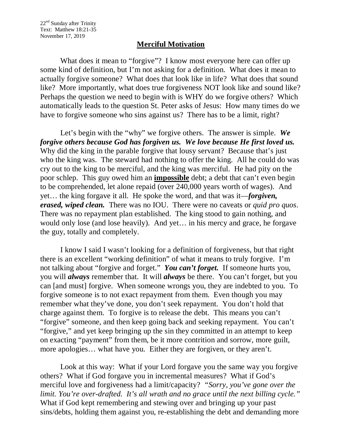## **Merciful Motivation**

What does it mean to "forgive"? I know most everyone here can offer up some kind of definition, but I'm not asking for a definition. What does it mean to actually forgive someone? What does that look like in life? What does that sound like? More importantly, what does true forgiveness NOT look like and sound like? Perhaps the question we need to begin with is WHY do we forgive others? Which automatically leads to the question St. Peter asks of Jesus: How many times do we have to forgive someone who sins against us? There has to be a limit, right?

Let's begin with the "why" we forgive others. The answer is simple. *We forgive others because God has forgiven us. We love because He first loved us.* Why did the king in the parable forgive that lousy servant? Because that's just who the king was. The steward had nothing to offer the king. All he could do was cry out to the king to be merciful, and the king was merciful. He had pity on the poor schlep. This guy owed him an **impossible** debt; a debt that can't even begin to be comprehended, let alone repaid (over 240,000 years worth of wages). And yet… the king forgave it all. He spoke the word, and that was it—*forgiven, erased, wiped clean.* There was no IOU. There were no caveats or *quid pro quos*. There was no repayment plan established. The king stood to gain nothing, and would only lose (and lose heavily). And yet… in his mercy and grace, he forgave the guy, totally and completely.

I know I said I wasn't looking for a definition of forgiveness, but that right there is an excellent "working definition" of what it means to truly forgive. I'm not talking about "forgive and forget." *You can't forget.* If someone hurts you, you will *always* remember that. It will *always* be there. You can't forget, but you can [and must] forgive. When someone wrongs you, they are indebted to you. To forgive someone is to not exact repayment from them. Even though you may remember what they've done, you don't seek repayment. You don't hold that charge against them. To forgive is to release the debt. This means you can't "forgive" someone, and then keep going back and seeking repayment. You can't "forgive," and yet keep bringing up the sin they committed in an attempt to keep on exacting "payment" from them, be it more contrition and sorrow, more guilt, more apologies… what have you. Either they are forgiven, or they aren't.

Look at this way: What if your Lord forgave you the same way you forgive others? What if God forgave you in incremental measures? What if God's merciful love and forgiveness had a limit/capacity? *"Sorry, you've gone over the limit. You're over-drafted. It's all wrath and no grace until the next billing cycle."* What if God kept remembering and stewing over and bringing up your past sins/debts, holding them against you, re-establishing the debt and demanding more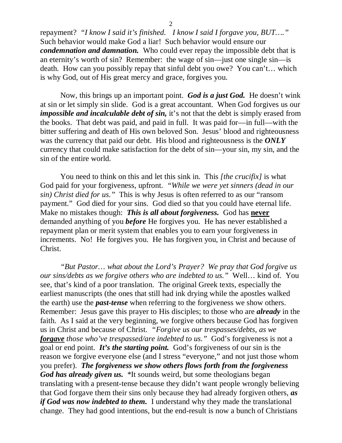repayment? *"I know I said it's finished. I know I said I forgave you, BUT…."* Such behavior would make God a liar! Such behavior would ensure our *condemnation and damnation.* Who could ever repay the impossible debt that is an eternity's worth of sin? Remember: the wage of sin—just one single sin—is death. How can you possibly repay that sinful debt you owe? You can't… which is why God, out of His great mercy and grace, forgives you.

Now, this brings up an important point. *God is a just God.* He doesn't wink at sin or let simply sin slide. God is a great accountant. When God forgives us our *impossible and incalculable debt of sin,* it's not that the debt is simply erased from the books. That debt was paid, and paid in full. It was paid for—in full—with the bitter suffering and death of His own beloved Son. Jesus' blood and righteousness was the currency that paid our debt. His blood and righteousness is the *ONLY* currency that could make satisfaction for the debt of sin—your sin, my sin, and the sin of the entire world.

You need to think on this and let this sink in. This *[the crucifix]* is what God paid for your forgiveness, upfront. *"While we were yet sinners (dead in our sin) Christ died for us."* This is why Jesus is often referred to as our "ransom payment." God died for your sins. God died so that you could have eternal life. Make no mistakes though: *This is all about forgiveness.* God has **never** demanded anything of you *before* He forgives you. He has never established a repayment plan or merit system that enables you to earn your forgiveness in increments. No! He forgives you. He has forgiven you, in Christ and because of Christ.

*"But Pastor… what about the Lord's Prayer? We pray that God forgive us our sins/debts as we forgive others who are indebted to us."* Well… kind of. You see, that's kind of a poor translation. The original Greek texts, especially the earliest manuscripts (the ones that still had ink drying while the apostles walked the earth) use the *past-tense* when referring to the forgiveness we show others. Remember: Jesus gave this prayer to His disciples; to those who are *already* in the faith. As I said at the very beginning, we forgive others because God has forgiven us in Christ and because of Christ. *"Forgive us our trespasses/debts, as we forgave those who've trespassed/are indebted to us."* God's forgiveness is not a goal or end point. *It's the starting point.* God's forgiveness of our sin is the reason we forgive everyone else (and I stress "everyone," and not just those whom you prefer). *The forgiveness we show others flows forth from the forgiveness God has already given us.* \*It sounds weird, but some theologians began translating with a present-tense because they didn't want people wrongly believing that God forgave them their sins only because they had already forgiven others, *as if God was now indebted to them.* I understand why they made the translational change. They had good intentions, but the end-result is now a bunch of Christians